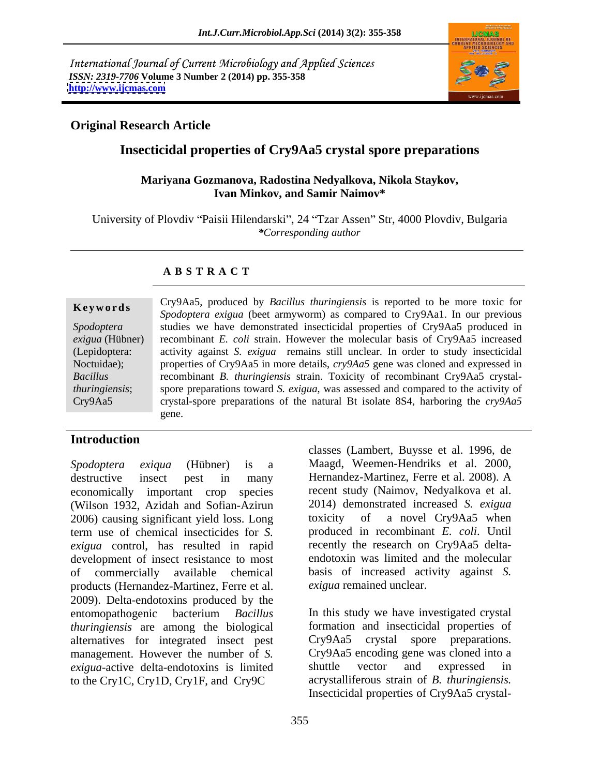International Journal of Current Microbiology and Applied Sciences *ISSN: 2319-7706* **Volume 3 Number 2 (2014) pp. 355-358 <http://www.ijcmas.com>**



## **Original Research Article**

## **Insecticidal properties of Cry9Aa5 crystal spore preparations**

## **Mariyana Gozmanova, Radostina Nedyalkova, Nikola Staykov, Ivan Minkov, and Samir Naimov\***

University of Plovdiv "Paisii Hilendarski", 24 "Tzar Assen" Str, 4000 Plovdiv, Bulgaria *\*Corresponding author* 

## **A B S T R A C T**

**Keywords** Crystal, produced by Buchus maringlensis is reported to be more toxic for Spodoptera exigua (beet armyworm) as compared to Cry9Aa1. In our previous *Spodoptera*  studies we have demonstrated insecticidal properties of Cry9Aa5 produced in *exigua* (Hübner) recombinant *E. coli* strain. However the molecular basis of Cry9Aa5 increased (Lepidoptera: activity against *S. exigua* remains still unclear. In order to study insecticidal Noctuidae); properties of Cry9Aa5 in more details,  $\frac{c\gamma}{9Aa5}$  gene was cloned and expressed in *Bacillus*  recombinant *B. thuringiensis* strain. Toxicity of recombinant Cry9Aa5 crystal *thuringiensis*; spore preparations toward *S. exigua*, was assessed and compared to the activity of Cry9Aa5 crystal-spore preparations of the natural Bt isolate 8S4, harboring the *cry9Aa5* Cry9Aa5, produced by *Bacillus thuringiensis* is reported to be more toxic for gene.

## **Introduction**

destructive insect pest in many Hernandez-Martinez, Ferre et al. 2008). A economically important crop species recent study (Naimov, Nedyalkova et al. (Wilson 1932, Azidah and Sofian-Azirun 2014) demonstrated increased *S. exigua*<br>2006) causing significant vield loss. Long toxicity of a novel Cry9Aa5 when 2006) causing significant yield loss. Long term use of chemical insecticides for *S. exigua* control, has resulted in rapid development of insect resistance to most of commercially available chemical basis of increased activity against *S.*  products (Hernandez-Martinez, Ferre et al. exigua remained unclear. 2009). Delta-endotoxins produced by the entomopathogenic bacterium *Bacillus*  In this study we have investigated crystal *thuringiensis* are among the biological alternatives for integrated insect pest management. However the number of *S. exigua*-active delta-endotoxins is limited to the Cry1C, Cry1D, Cry1F, and Cry9C

*Spodoptera exiqua* (Hübner) is a classes (Lambert, Buysse et al. 1996, de Maagd, Weemen-Hendriks et al. 2000, Hernandez-Martinez, Ferre et al. 2008). <sup>A</sup> 2014) demonstrated increased *S. exigua* toxicity of a novel Cry9Aa5 when produced in recombinant *E. coli*. Until recently the research on Cry9Aa5 delta endotoxin was limited and the molecular *exigua* remained unclear.

> formation and insecticidal properties of Cry9Aa5 crystal spore preparations. Cry9Aa5 encoding gene was cloned into a shuttle vector and expressed in acrystalliferous strain of *B. thuringiensis.*  Insecticidal properties of Cry9Aa5 crystal-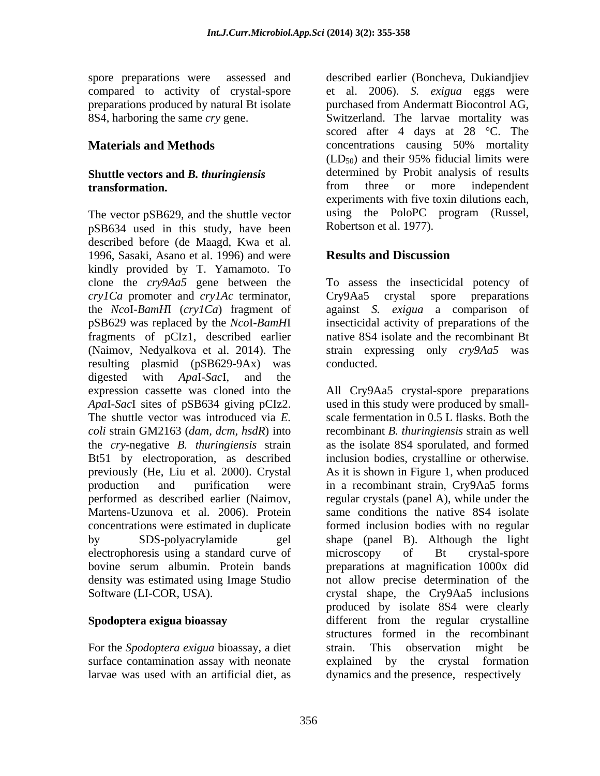# **transformation.**

The vector pSB629, and the shuttle vector pSB634 used in this study, have been described before (de Maagd, Kwa et al. 1996, Sasaki, Asano et al. 1996) and were **Results and Discussion** kindly provided by T. Yamamoto. To clone the *cry9Aa5* gene between the *cry1Ca* promoter and *cry1Ac* terminator, the *Nco*I-*BamH*I (*cry1Ca*) fragment of against *S. exigua* a comparison of pSB629 was replaced by the *Nco*I-*BamH*I insecticidal activity of preparations of the fragments of pCIz1, described earlier (Naimov, Nedyalkova et al. 2014). The strain expressing only *cry9Aa5* was resulting plasmid (pSB629-9Ax) was conducted. digested with *Apa*I-*Sac*I, and the expression cassette was cloned into the previously (He, Liu et al. 2000). Crystal electrophoresis using a standard curve of microscopy of Bt crystal-spore

For the *Spodoptera exigua* bioassay, a diet larvae was used with an artificial diet, as

spore preparations were assessed and described earlier (Boncheva, Dukiandjiev compared to activity of crystal-spore et al. 2006). *S. exigua* eggs were preparations produced by natural Bt isolate purchased from Andermatt Biocontrol AG, 8S4, harboring the same *cry* gene. Switzerland. The larvae mortality was **Materials and Methods concentrations** causing 50% mortality **Shuttle vectors and** *B. thuringiensis* determined by Probit analysis of results from three or more independent scored after 4 days at 28 °C. The  $(LD_{50})$  and their 95% fiducial limits were determined by Probit analysis of results from three or more independent experiments with five toxin dilutions each, using the PoloPC program (Russel, Robertson et al. 1977).

## **Results and Discussion**

To assess the insecticidal potency of Cry9Aa5 crystal spore preparations native 8S4 isolate and the recombinant Bt conducted.

*Apa*I-*Sac*I sites of pSB634 giving pCIz2. used in this study were produced by small- The shuttle vector was introduced via *E.*  scale fermentation in 0.5 L flasks. Both the *coli* strain GM2163 (*dam, dcm, hsdR*) into recombinant *B. thuringiensis* strain as well the *cry*-negative *B. thuringiensis* strain as the isolate 8S4 sporulated, and formed Bt51 by electroporation, as described inclusion bodies, crystalline or otherwise. production and purification were in a recombinant strain, Cry9Aa5 forms performed as described earlier (Naimov, regular crystals (panel A), while under the Martens-Uzunova et al. 2006). Protein same conditions the native 8S4 isolate concentrations were estimated in duplicate formed inclusion bodies with no regular by SDS-polyacrylamide gel shape (panel B). Although the light bovine serum albumin. Protein bands preparations at magnification 1000x did density was estimated using Image Studio not allow precise determination of the Software (LI-COR, USA). The Crystal shape, the Cry9Aa5 inclusions **Spodoptera exigua bioassay** different from the regular crystalline surface contamination assay with neonate explained by the crystal formation All Cry9Aa5 crystal-spore preparations As it is shown in Figure 1, when produced microscopy of Bt crystal-spore produced by isolate 8S4 were clearly structures formed in the recombinant strain. This observation might be dynamics and the presence, respectively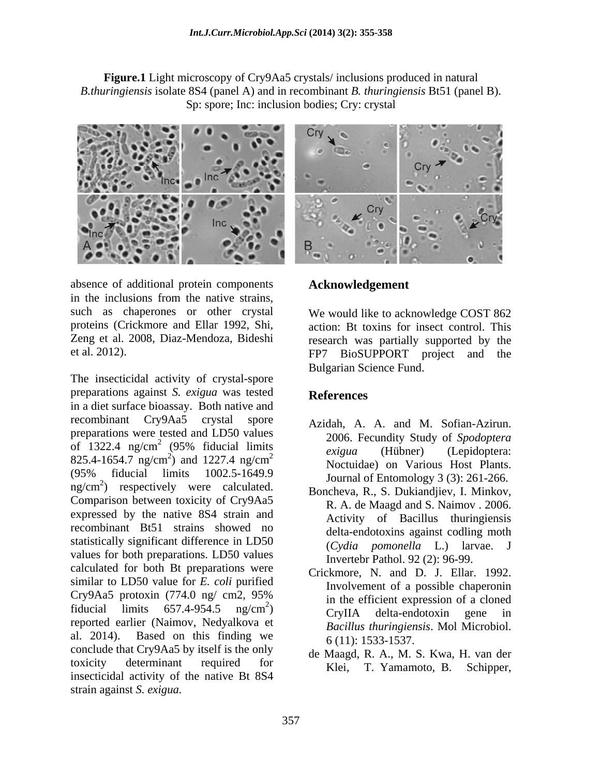**Figure.1** Light microscopy of Cry9Aa5 crystals/ inclusions produced in natural *B.thuringiensis* isolate 8S4 (panel A) and in recombinant *B. thuringiensis* Bt51 (panel B). Sp: spore; Inc: inclusion bodies; Cry: crystal



absence of additional protein components **Acknowledgement** in the inclusions from the native strains, such as chaperones or other crystal

The insecticidal activity of crystal-spore preparations against *S. exigua* was tested in a diet surface bioassay. Both native and recombinant Cry9Aa5 crystal spore Azidah, A. A. and M. Sofian-Azirun. preparations were tested and LD50 values of 1322.4 ng/cm<sup>2</sup> (95% fiducial limits  $\rho$  *is exiqua* (History G Spoughera)  $825.4 - 1654.7$  ng/cm<sup>2</sup>) and  $1227.4$  ng/cm<sup>2</sup><br>Noctuidae) on Various Host Plants  $(95\%$  fiducial limits  $1002.5\n- 1649.9$  Iournal of Entomology 3  $(3)$ : 261-266  $mg/cm^2$ ) respectively were calculated. Boncheva R S Dukiandijev I Minkov ng/cm<sup>2</sup>) respectively were calculated.<br>Comparison between toxicity of Cry9Aa5 R A de Maagd and S Naimov 2006 expressed by the native 8S4 strain and recombinant Bt51 strains showed no statistically significant difference in LD50 values for both preparations. LD50 values calculated for both Bt preparations were similar to LD50 value for *E. coli* purified  $Cry9Aa5$  protoxin  $(774.0 \text{ ng/cm2}, 95\%)$  in the efficient expression of a cloned fiducial limits  $657.4 - 954.5$  ng/cm<sup>2</sup>)  $C_{\text{rvII}}$ A delta-endotoxin gene in reported earlier (Naimov, Nedyalkova et al. 2014). Based on this finding we conclude that Cry9Aa5 by itself is the only toxicity determinant required for  $K_{\text{left}}$  T Yamamoto B Schinner insecticidal activity of the native Bt 8S4<br>insecticidal activity of the native Bt 8S4 absence of aditional protein compension<br>
in the inclusions from the native strains.<br>
Acknowledgement<br>
in the inclusions from the native strains.<br>
Proteins (Crickmore and Ellar 1992, Shi<br>
Proteins (Crickmore and Ellar 1992,

proteins (Crickmore and Ellar 1992, Shi, action: Bt toxins for insect control. This Zeng et al. 2008, Diaz-Mendoza, Bideshi research was partially supported by the et al. 2012). FP7 BioSUPPORT project and the We would like to acknowledge COST 862 Bulgarian Science Fund.

## **References**

- $(95\% \text{ fiducial limits} \quad \text{prime} \quad \text{(Hiihner)} \quad \text{(I enidontera)}$ ) and  $1227.4 \text{ ng/cm}^2$  Mocturately is expected to  $\frac{1227.4 \text{ ng/cm}^2}{\text{Nortuidae}}$  on Various Host Plants 2 2006. Fecundity Study of *Spodoptera exigua* (Hübner) (Lepidoptera: Noctuidae) on Various Host Plants. Journal of Entomology 3 (3): 261-266.
	- Boncheva, R., S. Dukiandjiev, I. Minkov, R. A. de Maagd and S. Naimov . 2006. Activity of Bacillus thuringiensis delta-endotoxins against codling moth (*Cydia pomonella* L.) larvae. J Invertebr Pathol. 92 (2): 96-99.
	- $2<sub>2</sub>$  in the efficient expression of a cloned  $\frac{mg}{cm^2}$  CryllA delta-endotoxin gene in Crickmore, N. and D. J. Ellar. 1992. Involvement of a possible chaperonin in the efficient expression of a cloned CryIIA delta-endotoxin gene in *Bacillus thuringiensis*. Mol Microbiol. 6 (11): 1533-1537.
		- de Maagd, R. A., M. S. Kwa, H. van der Klei, T. Yamamoto, B.